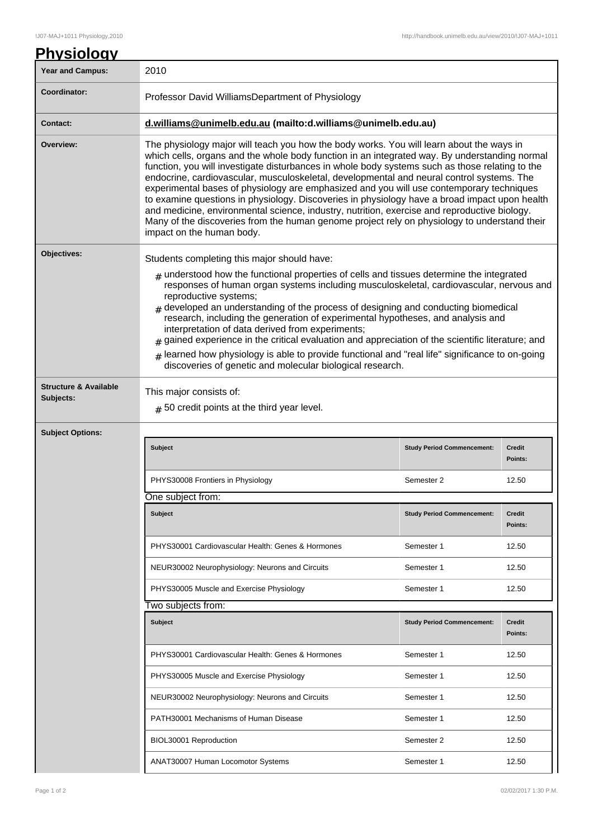| 2010                                                                                                                                                                                                                                                                                                                                                                                                                                                                                                                                                                                                                                                                                                                                                                                                                |                                   |                          |
|---------------------------------------------------------------------------------------------------------------------------------------------------------------------------------------------------------------------------------------------------------------------------------------------------------------------------------------------------------------------------------------------------------------------------------------------------------------------------------------------------------------------------------------------------------------------------------------------------------------------------------------------------------------------------------------------------------------------------------------------------------------------------------------------------------------------|-----------------------------------|--------------------------|
| Professor David WilliamsDepartment of Physiology                                                                                                                                                                                                                                                                                                                                                                                                                                                                                                                                                                                                                                                                                                                                                                    |                                   |                          |
| d.williams@unimelb.edu.au (mailto:d.williams@unimelb.edu.au)                                                                                                                                                                                                                                                                                                                                                                                                                                                                                                                                                                                                                                                                                                                                                        |                                   |                          |
| The physiology major will teach you how the body works. You will learn about the ways in<br>which cells, organs and the whole body function in an integrated way. By understanding normal<br>function, you will investigate disturbances in whole body systems such as those relating to the<br>endocrine, cardiovascular, musculoskeletal, developmental and neural control systems. The<br>experimental bases of physiology are emphasized and you will use contemporary techniques<br>to examine questions in physiology. Discoveries in physiology have a broad impact upon health<br>and medicine, environmental science, industry, nutrition, exercise and reproductive biology.<br>Many of the discoveries from the human genome project rely on physiology to understand their<br>impact on the human body. |                                   |                          |
| Students completing this major should have:                                                                                                                                                                                                                                                                                                                                                                                                                                                                                                                                                                                                                                                                                                                                                                         |                                   |                          |
| $*$ understood how the functional properties of cells and tissues determine the integrated<br>responses of human organ systems including musculoskeletal, cardiovascular, nervous and<br>reproductive systems;<br>$_{\text{\#}}$ developed an understanding of the process of designing and conducting biomedical<br>research, including the generation of experimental hypotheses, and analysis and<br>interpretation of data derived from experiments;<br>gained experience in the critical evaluation and appreciation of the scientific literature; and<br>#<br>learned how physiology is able to provide functional and "real life" significance to on-going<br>discoveries of genetic and molecular biological research.                                                                                      |                                   |                          |
|                                                                                                                                                                                                                                                                                                                                                                                                                                                                                                                                                                                                                                                                                                                                                                                                                     |                                   |                          |
| $#$ 50 credit points at the third year level.                                                                                                                                                                                                                                                                                                                                                                                                                                                                                                                                                                                                                                                                                                                                                                       |                                   |                          |
|                                                                                                                                                                                                                                                                                                                                                                                                                                                                                                                                                                                                                                                                                                                                                                                                                     |                                   |                          |
| Subject                                                                                                                                                                                                                                                                                                                                                                                                                                                                                                                                                                                                                                                                                                                                                                                                             | <b>Study Period Commencement:</b> | <b>Credit</b><br>Points: |
| PHYS30008 Frontiers in Physiology                                                                                                                                                                                                                                                                                                                                                                                                                                                                                                                                                                                                                                                                                                                                                                                   | Semester 2                        | 12.50                    |
| One subject from:                                                                                                                                                                                                                                                                                                                                                                                                                                                                                                                                                                                                                                                                                                                                                                                                   |                                   |                          |
| Subject                                                                                                                                                                                                                                                                                                                                                                                                                                                                                                                                                                                                                                                                                                                                                                                                             | <b>Study Period Commencement:</b> | <b>Credit</b><br>Points: |
| PHYS30001 Cardiovascular Health: Genes & Hormones                                                                                                                                                                                                                                                                                                                                                                                                                                                                                                                                                                                                                                                                                                                                                                   | Semester 1                        | 12.50                    |
|                                                                                                                                                                                                                                                                                                                                                                                                                                                                                                                                                                                                                                                                                                                                                                                                                     |                                   |                          |
| NEUR30002 Neurophysiology: Neurons and Circuits                                                                                                                                                                                                                                                                                                                                                                                                                                                                                                                                                                                                                                                                                                                                                                     | Semester 1                        | 12.50                    |
| PHYS30005 Muscle and Exercise Physiology                                                                                                                                                                                                                                                                                                                                                                                                                                                                                                                                                                                                                                                                                                                                                                            | Semester 1                        | 12.50                    |
| Two subjects from:                                                                                                                                                                                                                                                                                                                                                                                                                                                                                                                                                                                                                                                                                                                                                                                                  |                                   |                          |
| Subject                                                                                                                                                                                                                                                                                                                                                                                                                                                                                                                                                                                                                                                                                                                                                                                                             | <b>Study Period Commencement:</b> | <b>Credit</b><br>Points: |
| PHYS30001 Cardiovascular Health: Genes & Hormones                                                                                                                                                                                                                                                                                                                                                                                                                                                                                                                                                                                                                                                                                                                                                                   | Semester 1                        | 12.50                    |
| PHYS30005 Muscle and Exercise Physiology                                                                                                                                                                                                                                                                                                                                                                                                                                                                                                                                                                                                                                                                                                                                                                            | Semester 1                        | 12.50                    |
| NEUR30002 Neurophysiology: Neurons and Circuits                                                                                                                                                                                                                                                                                                                                                                                                                                                                                                                                                                                                                                                                                                                                                                     | Semester 1                        | 12.50                    |
| PATH30001 Mechanisms of Human Disease                                                                                                                                                                                                                                                                                                                                                                                                                                                                                                                                                                                                                                                                                                                                                                               | Semester 1                        | 12.50                    |
| BIOL30001 Reproduction                                                                                                                                                                                                                                                                                                                                                                                                                                                                                                                                                                                                                                                                                                                                                                                              | Semester 2                        | 12.50                    |
|                                                                                                                                                                                                                                                                                                                                                                                                                                                                                                                                                                                                                                                                                                                                                                                                                     | This major consists of:           |                          |